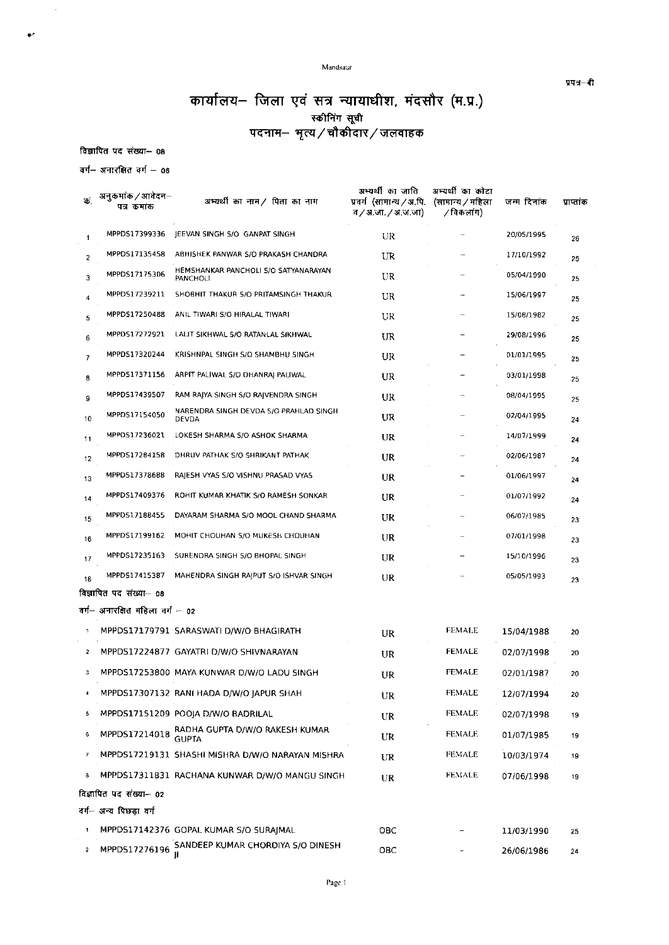Mandsaur

प्रपत्र–दी

## कार्यालय- जिला एवं सत्र न्यायाधीश, मंदसौर (म.प्र.)

विज्ञापित पद संख्या- 08

 $\bar{\mathcal{A}}$ 

 $\bullet^\star$ 

वर्ग- अनारक्षित वर्ग - 06

| ъ.             | अनुकर्माक / आवेदन–<br>पत्र कमांक | अभ्यर्थी का नाम / पिता का नाम                        | अभ्यर्थी का जाति<br>प्रवर्ग (सामान्य / अ.पि.<br>व / अ.जा. / अ.ज.जा) | अभ्यर्थी का कोटा<br>(सामान्य / महिला<br>∕विकलांग) | जन्म दिनांक | पाप्तांक |
|----------------|----------------------------------|------------------------------------------------------|---------------------------------------------------------------------|---------------------------------------------------|-------------|----------|
| 1              | MPPDS17399336                    | JEEVAN SINGH S/O GANPAT SINGH                        | UR                                                                  |                                                   | 20/05/1995  | 26       |
| 2              | MPPDS17135458                    | ABHISHEK PANWAR 5/0 PRAKASH CHANDRA                  | UR                                                                  |                                                   | 17/10/1992  | 25       |
| 3              | MPPDS17175306                    | HEMSHANKAR PANCHOLI S/O SATYANARAYAN<br>PANCHOLI     | UR                                                                  |                                                   | 05/04/1990  | 25       |
|                | MPPDS17239211                    | SHOBHIT THAKUR 5/O PRITAMSINGH THAKUR                | UR                                                                  |                                                   | 15/06/1997  | 25       |
| 5              | MPPDS17250488                    | ANIL TIWARI S/O HIRALAL TIWARI                       | UR                                                                  |                                                   | 15/08/1982  | 25       |
| 6              | MPPDS17272921                    | LALIT SIKHWAL S/O RATANLAL SIKHWAL                   | UR                                                                  |                                                   | 29/08/1996  | 25       |
| 7              | MPPD517320244                    | KRISHNPAL SINGH S/O SHAMBHU SINGH                    | UR                                                                  |                                                   | 01/01/1995  | 25       |
| 8              | MPPD517371156                    | ARPIT PALIWAL S/O DHANRAJ PALIWAL                    | UR                                                                  |                                                   | 03/01/1998  | 25       |
| 9              | MPPDS17439507                    | RAM RAJYA SINGH S/O RAJVENDRA SINGH                  | <b>UR</b>                                                           |                                                   | 08/04/1995  | 25       |
| 10             | MPPDS17154050                    | NARENDRA SINGH DEVDA S/O PRAHLAD SINGH<br>DEVDA      | UR                                                                  |                                                   | 02/04/1995  | 24       |
| 11             | MPPOS17236021                    | LOKESH SHARMA S/O ASHOK SHARMA                       | UR                                                                  |                                                   | 14/07/1999  | 24       |
| 12             | MPPDS17284158                    | DHRUV PATHAK S/O SHRIKANT PATHAK                     | UR                                                                  |                                                   | 02/06/1987  | 24       |
| 13             | MPPDS17378688                    | RAJESH VYAS S/O VISHNU PRASAD VYAS                   | UR                                                                  |                                                   | 01/06/1997  | 24       |
| 14             | MPPDS17409376                    | ROHIT KUMAR KHATIK S/O RAMESH SONKAR                 | UR                                                                  |                                                   | 01/07/1992  | 24       |
| 15             | MPPDS17188455                    | DAYARAM SHARMA S/O MOOL CHAND SHARMA                 | UR                                                                  |                                                   | 06/07/1985  | 23       |
| 16             | MPPDS17199162                    | MOHIT CHOUHAN 5/O MUKESH CHOUHAN                     | UR                                                                  |                                                   | 07/01/1998  | 23       |
| 17             | MPPDS17235163                    | SURENDRA SINGH S/O BHOPAL SINGH                      | UR                                                                  |                                                   | 15/10/1996  | 23       |
| 18             | MPPDS17415387                    | MAHENDRA SINGH RAJPUT S/O ISHVAR SINGH               | UR                                                                  |                                                   | 05/05/1993  | 23       |
|                | विज्ञापित पद संख्या— 08          |                                                      |                                                                     |                                                   |             |          |
|                | वर्ग-- अनारक्षित महिला वर्ग – 02 |                                                      |                                                                     |                                                   |             |          |
|                |                                  | MPPDS17179791 SARASWATI D/W/O BHAGIRATH              | UR                                                                  | <b>FEMALE</b>                                     | 15/04/1988  | 20       |
| 2              |                                  | MPPDS17224877 GAYATRI D/W/O SHIVNARAYAN              | UR                                                                  | <b>FEMALE</b>                                     | 02/07/1998  | 20       |
| 3              |                                  | MPPDS17253800 MAYA KUNWAR D/W/O LADU SINGH           | UR                                                                  | <b>FEMALE</b>                                     | 02/01/1987  | 20       |
|                |                                  | MPPDS17307132 RANI HADA D/W/O JAPUR SHAH             | UR                                                                  | FEMALE                                            | 12/07/1994  | 20       |
| 5              |                                  | MPPDS17151209 POOJA D/W/O BADRILAL                   | UR                                                                  | <b>FEMALE</b>                                     | 02/07/1998  | 19       |
| 6              | MPPDS17214018                    | RADHA GUPTA D/W/O RAKESH KUMAR<br>GUPTA              | UR                                                                  | <b>FEMALE</b>                                     | 01/07/1985  | 19       |
| 7              |                                  | MPPDS17219131 SHASHI MISHRA D/W/O NARAYAN MISHRA     | UR                                                                  | FEMALE                                            | 10/03/1974  | 19       |
| 8              |                                  | MPPDS17311831 RACHANA KUNWAR D/W/O MANGU SINGH       | <b>UR</b>                                                           | <b>FEMALE</b>                                     | 07/06/1998  | 19       |
|                | विज्ञापित पद संख्या– 02          |                                                      |                                                                     |                                                   |             |          |
|                | वर्ग– अन्य पिछडा वर्ग            |                                                      |                                                                     |                                                   |             |          |
| 1              |                                  | MPPDS17142376 GOPAL KUMAR S/O SURAJMAL               | OBC                                                                 |                                                   | 11/03/1990  | 25       |
| $\overline{z}$ |                                  | MPPDS17276196 SANDEEP KUMAR CHORDIYA S/O DINESH<br>μ | OBC                                                                 |                                                   | 26/06/1986  | 24       |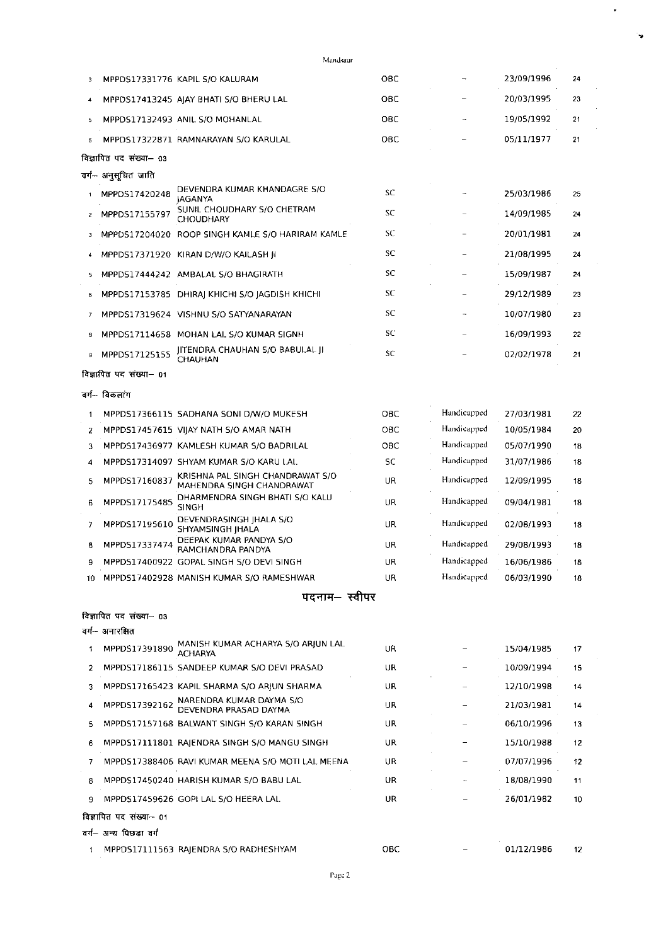|    | विज्ञापित पद संख्या— 03 |                                                               |     |             |            |    |
|----|-------------------------|---------------------------------------------------------------|-----|-------------|------------|----|
|    | वर्ग– अनुसूचित जाति     |                                                               |     |             |            |    |
| 1  | MPPDS17420248           | DEVENDRA KUMAR KHANDAGRE S/O<br>JAGANYA                       | SC  |             | 25/03/1986 | 25 |
| 2  | MPPD517155797           | SUNIL CHOUDHARY S/O CHETRAM<br><b>CHOUDHARY</b>               | SC  |             | 14/09/1985 | 24 |
| з  |                         | MPPDS17204020 ROOP SINGH KAMLE S/O HARIRAM KAMLE              | SC  |             | 20/01/1981 | 24 |
| 4  |                         | MPPDS17371920 KIRAN D/W/O KAILASH JI                          | SC  |             | 21/08/1995 | 24 |
| 5  |                         | MPPDS17444242 AMBALAL S/O BHAGIRATH                           | SC  |             | 15/09/1987 | 24 |
| 6  |                         | MPPDS17153785 DHIRAJ KHICHI S/O JAGDISH KHICHI                | SC  |             | 29/12/1989 | 23 |
| 7  |                         | MPPDS17319624 VISHNU S/O SATYANARAYAN                         | SC  |             | 10/07/1980 | 23 |
| 8  |                         | MPPDS17114658 MOHAN LAL S/O KUMAR SIGNH                       | SC  |             | 16/09/1993 | 22 |
| 9  | MPPDS17125155           | JITENDRA CHAUHAN S/O BABULAL JI<br>CHAUHAN                    | SC  |             | 02/02/1978 | 21 |
|    | विज्ञापित पद संख्या- 01 |                                                               |     |             |            |    |
|    | वर्ग-- विकलाग           |                                                               |     |             |            |    |
| 1  |                         | MPPDS17366115 SADHANA SONI D/W/O MUKESH                       | ОВС | Handicapped | 27/03/1981 | 22 |
| 2  |                         | MPPDS17457615 VIJAY NATH S/O AMAR NATH                        | OBC | Handicapped | 10/05/1984 | 20 |
| 3  |                         | MPPDS17436977 KAMLESH KUMAR S/O BADRILAL                      | OBC | Handicapped | 05/07/1990 | 18 |
| 4  |                         | MPPDS17314097 SHYAM KUMAR S/O KARU LAL                        | SC  | Handicapped | 31/07/1986 | 18 |
| 5  | MPPDS17160837           | KRISHNA PAL SINGH CHANDRAWAT S/O<br>MAHENDRA SINGH CHANDRAWAT | UR  | Handicapped | 12/09/1995 | 18 |
| 6  | MPPDS17175485           | DHARMENDRA SINGH BHATI S/O KALU<br><b>SINGH</b>               | UR  | Handicapped | 09/04/1981 | 18 |
| 7  | MPPDS17195610           | DEVENDRASINGH JHALA S/O<br>SHYAMSINGH IHALA                   | UR  | Handicapped | 02/08/1993 | 18 |
| 8  | MPPDS17337474           | DEEPAK KUMAR PANDYA S/O<br>RAMCHANDRA PANDYA                  | UR  | Handicapped | 29/08/1993 | 18 |
| 9  |                         | MPPDS17400922 GOPAL SINGH S/O DEVI SINGH                      | UR  | Handicapped | 16/06/1986 | 18 |
| 10 |                         | MPPDS17402928 MANISH KUMAR S/O RAMESHWAR                      | UR  | Handicapped | 06/03/1990 | 18 |
|    |                         | पदनाम— स्वीपर                                                 |     |             |            |    |
|    | विज्ञापित पद संख्या— ०३ |                                                               |     |             |            |    |
|    | वग— अनारक्षित           |                                                               |     |             |            |    |
| 1  | MPPDS17391890           | MANISH KUMAR ACHARYA S/O ARIUN LAL<br>ACHARYA                 | UR  |             | 15/04/1985 | 17 |
| 2  |                         | MPPDS17186115 SANDEEP KUMAR S/O DEVI PRASAD                   | UR  |             | 10/09/1994 | 15 |
| 3  |                         | MPPDS17165423 KAPIL SHARMA S/O ARJUN SHARMA                   | UR. |             | 12/10/1998 | 14 |
| 4  | MPPDS17392162           | NARENDRA KUMAR DAYMA S/O<br>DEVENDRA PRASAD DAYMA             | UR. |             | 21/03/1981 | 14 |
| 5  |                         | MPPDS17157168 BALWANT SINGH S/O KARAN SINGH                   | UR. |             | 06/10/1996 | 13 |
| 6  |                         | MPPDS17111801 RAJENDRA SINGH S/O MANGU SINGH                  | UR  |             | 15/10/1988 | 12 |
| 7  |                         | MPPDS17388406 RAVI KUMAR MEENA S/O MOTI LAL MEENA             | UR  |             | 07/07/1996 | 12 |
| 8  |                         | MPPDS17450240 HARISH KUMAR S/O BABU LAL                       | UR  |             | 18/08/1990 | 11 |
| 9  |                         | MPPDS17459626 GOPI LAL S/O HEERA LAL                          | UR  |             | 26/01/1982 | 10 |
|    | विज्ञापित पद संख्या– ०१ |                                                               |     |             |            |    |
|    | वर्ग– अन्य पिछडा वर्ग   |                                                               |     |             |            |    |
| 1. |                         | MPPDS17111563 RAJENDRA S/O RADHESHYAM                         | OBC |             | 01/12/1986 | 12 |
|    |                         | Page 2                                                        |     |             |            |    |

6 MPPDS17322871 RAMNARAYAN S/O KARULAL

3 MPPDS17331776 KAPIL S/O KALURAM

4 MPPDS17413245 AJAY BHATI S/O BHERU LAL OBC 6 MPPDS17132493 ANIL S/O MOHANLAL овс OBC

Mandsaur

ОВС

 $\ddot{\phantom{0}}$ 

23/09/1996

20/03/1995

19/05/1992

05/11/1977

 $24$ 

 $23$ 

 $21$ 

 $21$ 

 $\overline{\phantom{a}}$ 

 $\bar{\phantom{a}}$ 

 $\mathbb{Z}^{\mathbb{Z}}$ 

 $\bar{\phantom{a}}$